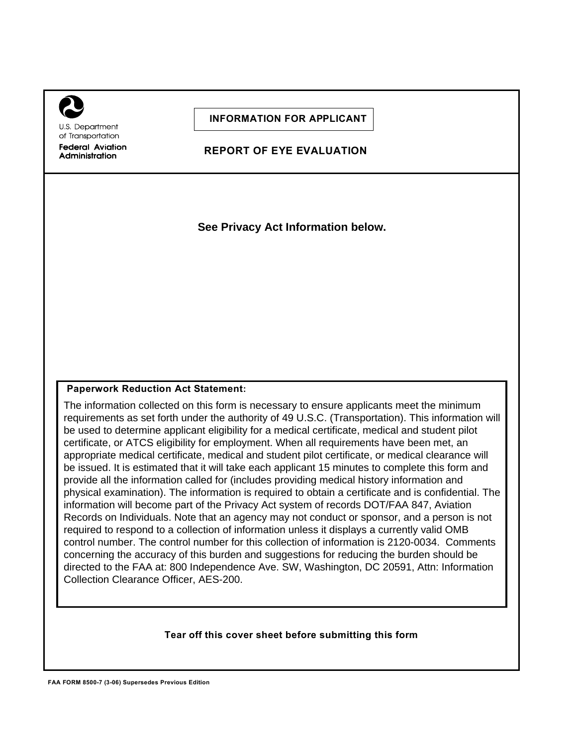U.S. Department of Transportation **Federal Aviation** Administration

**INFORMATION FOR APPLICANT**

**REPORT OF EYE EVALUATION**

**See Privacy Act Information below.**

## **Paperwork Reduction Act Statement:**

The information collected on this form is necessary to ensure applicants meet the minimum requirements as set forth under the authority of 49 U.S.C. (Transportation). This information will be used to determine applicant eligibility for a medical certificate, medical and student pilot certificate, or ATCS eligibility for employment. When all requirements have been met, an appropriate medical certificate, medical and student pilot certificate, or medical clearance will be issued. It is estimated that it will take each applicant 15 minutes to complete this form and provide all the information called for (includes providing medical history information and physical examination). The information is required to obtain a certificate and is confidential. The information will become part of the Privacy Act system of records DOT/FAA 847, Aviation Records on Individuals. Note that an agency may not conduct or sponsor, and a person is not required to respond to a collection of information unless it displays a currently valid OMB control number. The control number for this collection of information is 2120-0034. Comments concerning the accuracy of this burden and suggestions for reducing the burden should be directed to the FAA at: 800 Independence Ave. SW, Washington, DC 20591, Attn: Information Collection Clearance Officer, AES-200.

## **Tear off this cover sheet before submitting this form**

**FAA FORM 8500-7 (3-06) Supersedes Previous Edition**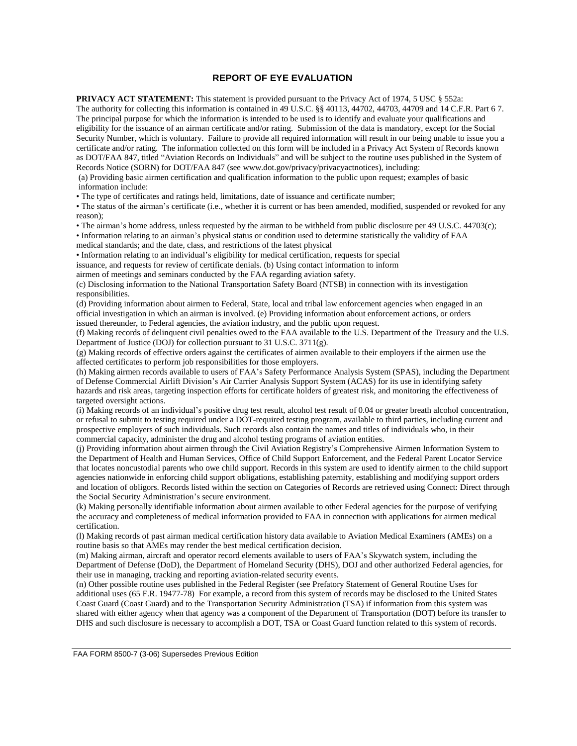## **REPORT OF EYE EVALUATION**

**PRIVACY ACT STATEMENT:** This statement is provided pursuant to the Privacy Act of 1974, 5 USC § 552a:

The authority for collecting this information is contained in 49 U.S.C. §§ 40113, 44702, 44703, 44709 and 14 C.F.R. Part 6 7. The principal purpose for which the information is intended to be used is to identify and evaluate your qualifications and eligibility for the issuance of an airman certificate and/or rating. Submission of the data is mandatory, except for the Social Security Number, which is voluntary. Failure to provide all required information will result in our being unable to issue you a certificate and/or rating. The information collected on this form will be included in a Privacy Act System of Records known as DOT/FAA 847, titled "Aviation Records on Individuals" and will be subject to the routine uses published in the System of Records Notice (SORN) for DOT/FAA 847 (see www.dot.gov/privacy/privacyactnotices), including:

(a) Providing basic airmen certification and qualification information to the public upon request; examples of basic information include:

• The type of certificates and ratings held, limitations, date of issuance and certificate number;

• The status of the airman's certificate (i.e., whether it is current or has been amended, modified, suspended or revoked for any reason);

• The airman's home address, unless requested by the airman to be withheld from public disclosure per 49 U.S.C. 44703(c);

• Information relating to an airman's physical status or condition used to determine statistically the validity of FAA medical standards; and the date, class, and restrictions of the latest physical

• Information relating to an individual's eligibility for medical certification, requests for special

issuance, and requests for review of certificate denials. (b) Using contact information to inform

airmen of meetings and seminars conducted by the FAA regarding aviation safety.

(c) Disclosing information to the National Transportation Safety Board (NTSB) in connection with its investigation responsibilities.

(d) Providing information about airmen to Federal, State, local and tribal law enforcement agencies when engaged in an official investigation in which an airman is involved. (e) Providing information about enforcement actions, or orders issued thereunder, to Federal agencies, the aviation industry, and the public upon request.

(f) Making records of delinquent civil penalties owed to the FAA available to the U.S. Department of the Treasury and the U.S. Department of Justice (DOJ) for collection pursuant to 31 U.S.C. 3711(g).

(g) Making records of effective orders against the certificates of airmen available to their employers if the airmen use the affected certificates to perform job responsibilities for those employers.

(h) Making airmen records available to users of FAA's Safety Performance Analysis System (SPAS), including the Department of Defense Commercial Airlift Division's Air Carrier Analysis Support System (ACAS) for its use in identifying safety hazards and risk areas, targeting inspection efforts for certificate holders of greatest risk, and monitoring the effectiveness of targeted oversight actions.

(i) Making records of an individual's positive drug test result, alcohol test result of 0.04 or greater breath alcohol concentration, or refusal to submit to testing required under a DOT-required testing program, available to third parties, including current and prospective employers of such individuals. Such records also contain the names and titles of individuals who, in their commercial capacity, administer the drug and alcohol testing programs of aviation entities.

(j) Providing information about airmen through the Civil Aviation Registry's Comprehensive Airmen Information System to the Department of Health and Human Services, Office of Child Support Enforcement, and the Federal Parent Locator Service that locates noncustodial parents who owe child support. Records in this system are used to identify airmen to the child support agencies nationwide in enforcing child support obligations, establishing paternity, establishing and modifying support orders and location of obligors. Records listed within the section on Categories of Records are retrieved using Connect: Direct through the Social Security Administration's secure environment.

(k) Making personally identifiable information about airmen available to other Federal agencies for the purpose of verifying the accuracy and completeness of medical information provided to FAA in connection with applications for airmen medical certification.

(l) Making records of past airman medical certification history data available to Aviation Medical Examiners (AMEs) on a routine basis so that AMEs may render the best medical certification decision.

(m) Making airman, aircraft and operator record elements available to users of FAA's Skywatch system, including the Department of Defense (DoD), the Department of Homeland Security (DHS), DOJ and other authorized Federal agencies, for their use in managing, tracking and reporting aviation-related security events.

(n) Other possible routine uses published in the Federal Register (see Prefatory Statement of General Routine Uses for additional uses (65 F.R. 19477-78) For example, a record from this system of records may be disclosed to the United States Coast Guard (Coast Guard) and to the Transportation Security Administration (TSA) if information from this system was shared with either agency when that agency was a component of the Department of Transportation (DOT) before its transfer to DHS and such disclosure is necessary to accomplish a DOT, TSA or Coast Guard function related to this system of records.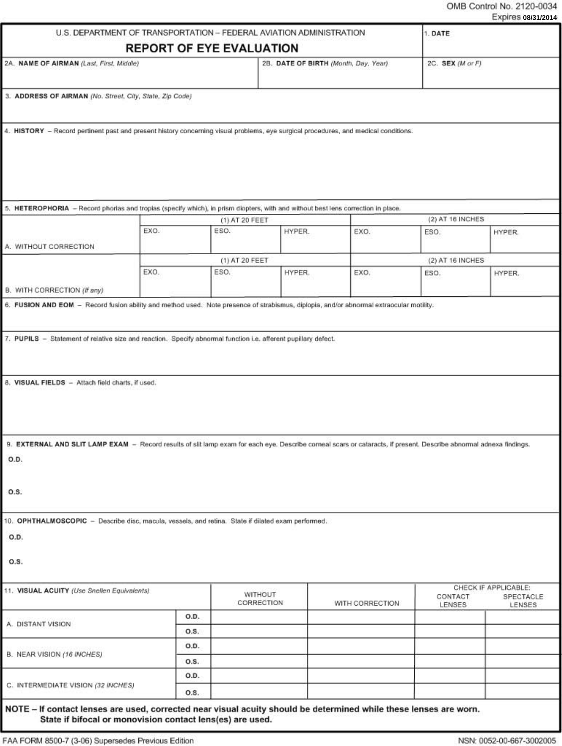## OMB Control No. 2120-0034 Evoires 00/24

|                                                                                                                                                                                                                                                                                                                                                                                                                                                                        |                                 |                        | U.S. DEPARTMENT OF TRANSPORTATION - FEDERAL AVIATION ADMINISTRATION |                 |                   | 1. DATE              |  |
|------------------------------------------------------------------------------------------------------------------------------------------------------------------------------------------------------------------------------------------------------------------------------------------------------------------------------------------------------------------------------------------------------------------------------------------------------------------------|---------------------------------|------------------------|---------------------------------------------------------------------|-----------------|-------------------|----------------------|--|
|                                                                                                                                                                                                                                                                                                                                                                                                                                                                        | <b>REPORT OF EYE EVALUATION</b> |                        |                                                                     |                 |                   |                      |  |
| 2A. NAME OF AIRMAN (Last, First, Middle)                                                                                                                                                                                                                                                                                                                                                                                                                               |                                 |                        | 2B. DATE OF BIRTH (Month, Day, Year)                                |                 | 2C. SEX (M or F)  |                      |  |
| 3. ADDRESS OF AIRMAN (No. Street, City, State, Zip Code)                                                                                                                                                                                                                                                                                                                                                                                                               |                                 |                        |                                                                     |                 |                   |                      |  |
|                                                                                                                                                                                                                                                                                                                                                                                                                                                                        |                                 |                        |                                                                     |                 |                   |                      |  |
| 4. HISTORY - Record pertinent past and present history concerning visual problems, eye surgical procedures, and medical conditions.                                                                                                                                                                                                                                                                                                                                    |                                 |                        |                                                                     |                 |                   |                      |  |
|                                                                                                                                                                                                                                                                                                                                                                                                                                                                        |                                 |                        |                                                                     |                 |                   |                      |  |
|                                                                                                                                                                                                                                                                                                                                                                                                                                                                        |                                 |                        |                                                                     |                 |                   |                      |  |
|                                                                                                                                                                                                                                                                                                                                                                                                                                                                        |                                 |                        |                                                                     |                 |                   |                      |  |
|                                                                                                                                                                                                                                                                                                                                                                                                                                                                        |                                 |                        |                                                                     |                 |                   |                      |  |
| 5. HETEROPHORIA - Record phorias and tropias (specify which), in prism diopters, with and without best lens correction in place.                                                                                                                                                                                                                                                                                                                                       |                                 |                        |                                                                     |                 | (2) AT 16 INCHES  |                      |  |
|                                                                                                                                                                                                                                                                                                                                                                                                                                                                        | EXO.                            | (1) AT 20 FEET<br>ESO. | HYPER.                                                              | EXO.            | ESO.              | HYPER.               |  |
| A. WITHOUT CORRECTION                                                                                                                                                                                                                                                                                                                                                                                                                                                  |                                 |                        |                                                                     |                 |                   |                      |  |
|                                                                                                                                                                                                                                                                                                                                                                                                                                                                        |                                 | (1) AT 20 FEET         |                                                                     |                 | (2) AT 16 INCHES  |                      |  |
|                                                                                                                                                                                                                                                                                                                                                                                                                                                                        | EXO.                            | ESO.                   | HYPER.                                                              | EXO.            | ESO.              | HYPER.               |  |
| B. WITH CORRECTION (If any)                                                                                                                                                                                                                                                                                                                                                                                                                                            |                                 |                        |                                                                     |                 |                   |                      |  |
| 6. FUSION AND EOM - Record fusion ability and method used. Note presence of strabismus, diplopia, and/or abnormal extraocular motility.                                                                                                                                                                                                                                                                                                                                |                                 |                        |                                                                     |                 |                   |                      |  |
|                                                                                                                                                                                                                                                                                                                                                                                                                                                                        |                                 |                        |                                                                     |                 |                   |                      |  |
|                                                                                                                                                                                                                                                                                                                                                                                                                                                                        |                                 |                        |                                                                     |                 |                   |                      |  |
|                                                                                                                                                                                                                                                                                                                                                                                                                                                                        |                                 |                        |                                                                     |                 |                   |                      |  |
|                                                                                                                                                                                                                                                                                                                                                                                                                                                                        |                                 |                        |                                                                     |                 |                   |                      |  |
|                                                                                                                                                                                                                                                                                                                                                                                                                                                                        |                                 |                        |                                                                     |                 |                   |                      |  |
|                                                                                                                                                                                                                                                                                                                                                                                                                                                                        |                                 |                        |                                                                     |                 |                   |                      |  |
| 7. PUPILS - Statement of relative size and reaction. Specify abnormal function i.e. afferent pupillary defect.<br>8. VISUAL FIELDS - Attach field charts, if used.<br>9. EXTERNAL AND SLIT LAMP EXAM - Record results of slit lamp exam for each eye. Describe comeal scars or cataracts, if present. Describe abnormal adnexa findings.<br>O.D.<br>O.S.<br>10. OPHTHALMOSCOPIC - Describe disc, macula, vessels, and retina. State if dilated exam performed.<br>O.D. |                                 |                        |                                                                     |                 |                   |                      |  |
|                                                                                                                                                                                                                                                                                                                                                                                                                                                                        |                                 |                        |                                                                     |                 |                   |                      |  |
|                                                                                                                                                                                                                                                                                                                                                                                                                                                                        |                                 |                        |                                                                     |                 |                   | CHECK IF APPLICABLE: |  |
|                                                                                                                                                                                                                                                                                                                                                                                                                                                                        |                                 | WITHOUT<br>CORRECTION  |                                                                     | WITH CORRECTION | CONTACT<br>LENSES | LENSES               |  |
|                                                                                                                                                                                                                                                                                                                                                                                                                                                                        | O.D.                            |                        |                                                                     |                 |                   | SPECTACLE            |  |
|                                                                                                                                                                                                                                                                                                                                                                                                                                                                        | O.S.                            |                        |                                                                     |                 |                   |                      |  |
|                                                                                                                                                                                                                                                                                                                                                                                                                                                                        | O.D.                            |                        |                                                                     |                 |                   |                      |  |
|                                                                                                                                                                                                                                                                                                                                                                                                                                                                        | O.S.                            |                        |                                                                     |                 |                   |                      |  |
| O.S.<br>11. VISUAL ACUITY (Use Snellen Equivalents)<br>A. DISTANT VISION<br>B. NEAR VISION (16 INCHES)<br>C. INTERMEDIATE VISION (32 INCHES)                                                                                                                                                                                                                                                                                                                           | O.D.                            |                        |                                                                     |                 |                   |                      |  |